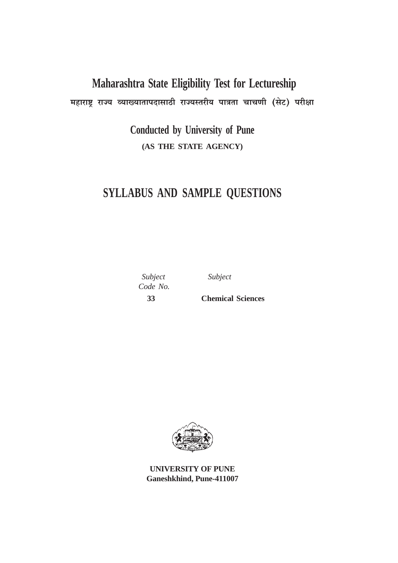# **Maharashtra State Eligibility Test for Lectureship** महाराष्ट्र राज्य व्याख्यातापदासाठी राज्यस्तरीय पात्रता चाचणी (सेट) परीक्षा

**Conducted by University of Pune (AS THE STATE AGENCY)**

## **SYLLABUS AND SAMPLE QUESTIONS**

 *Subject Subject Code No.*

 **33 Chemical Sciences**



**UNIVERSITY OF PUNE Ganeshkhind, Pune-411007**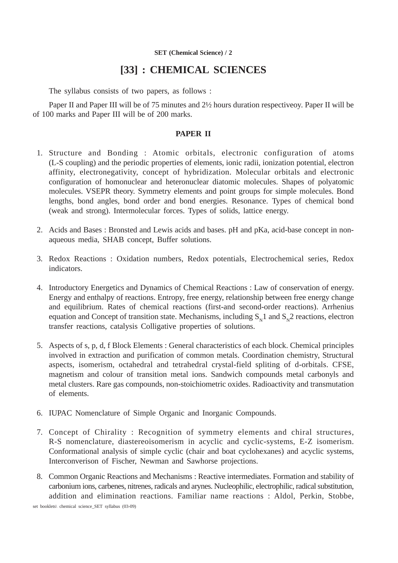### **[33] : CHEMICAL SCIENCES**

The syllabus consists of two papers, as follows :

Paper II and Paper III will be of 75 minutes and 2½ hours duration respectiveoy. Paper II will be of 100 marks and Paper III will be of 200 marks.

#### **PAPER II**

- 1. Structure and Bonding : Atomic orbitals, electronic configuration of atoms (L-S coupling) and the periodic properties of elements, ionic radii, ionization potential, electron affinity, electronegativity, concept of hybridization. Molecular orbitals and electronic configuration of homonuclear and heteronuclear diatomic molecules. Shapes of polyatomic molecules. VSEPR theory. Symmetry elements and point groups for simple molecules. Bond lengths, bond angles, bond order and bond energies. Resonance. Types of chemical bond (weak and strong). Intermolecular forces. Types of solids, lattice energy.
- 2. Acids and Bases : Bronsted and Lewis acids and bases. pH and pKa, acid-base concept in nonaqueous media, SHAB concept, Buffer solutions.
- 3. Redox Reactions : Oxidation numbers, Redox potentials, Electrochemical series, Redox indicators.
- 4. Introductory Energetics and Dynamics of Chemical Reactions : Law of conservation of energy. Energy and enthalpy of reactions. Entropy, free energy, relationship between free energy change and equilibrium. Rates of chemical reactions (first-and second-order reactions). Arrhenius equation and Concept of transition state. Mechanisms, including  $S_{N1}$  and  $S_{N2}$  reactions, electron transfer reactions, catalysis Colligative properties of solutions.
- 5. Aspects of s, p, d, f Block Elements : General characteristics of each block. Chemical principles involved in extraction and purification of common metals. Coordination chemistry, Structural aspects, isomerism, octahedral and tetrahedral crystal-field spliting of d-orbitals. CFSE, magnetism and colour of transition metal ions. Sandwich compounds metal carbonyls and metal clusters. Rare gas compounds, non-stoichiometric oxides. Radioactivity and transmutation of elements.
- 6. IUPAC Nomenclature of Simple Organic and Inorganic Compounds.
- 7. Concept of Chirality : Recognition of symmetry elements and chiral structures, R-S nomenclature, diastereoisomerism in acyclic and cyclic-systems, E-Z isomerism. Conformational analysis of simple cyclic (chair and boat cyclohexanes) and acyclic systems, Interconverison of Fischer, Newman and Sawhorse projections.
- 8. Common Organic Reactions and Mechanisms : Reactive intermediates. Formation and stability of carbonium ions, carbenes, nitrenes, radicals and arynes. Nucleophilic, electrophilic, radical substitution, addition and elimination reactions. Familiar name reactions : Aldol, Perkin, Stobbe,

set booklets\ chemical science\_SET syllabus (03-09)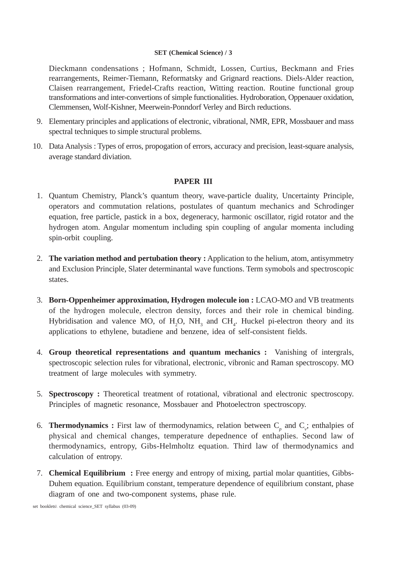Dieckmann condensations ; Hofmann, Schmidt, Lossen, Curtius, Beckmann and Fries rearrangements, Reimer-Tiemann, Reformatsky and Grignard reactions. Diels-Alder reaction, Claisen rearrangement, Friedel-Crafts reaction, Witting reaction. Routine functional group transformations and inter-convertions of simple functionalities. Hydroboration, Oppenauer oxidation, Clemmensen, Wolf-Kishner, Meerwein-Ponndorf Verley and Birch reductions.

- 9. Elementary principles and applications of electronic, vibrational, NMR, EPR, Mossbauer and mass spectral techniques to simple structural problems.
- 10. Data Analysis : Types of erros, propogation of errors, accuracy and precision, least-square analysis, average standard diviation.

### **PAPER III**

- 1. Quantum Chemistry, Planck's quantum theory, wave-particle duality, Uncertainty Principle, operators and commutation relations, postulates of quantum mechanics and Schrodinger equation, free particle, pastick in a box, degeneracy, harmonic oscillator, rigid rotator and the hydrogen atom. Angular momentum including spin coupling of angular momenta including spin-orbit coupling.
- 2. **The variation method and pertubation theory :** Application to the helium, atom, antisymmetry and Exclusion Principle, Slater determinantal wave functions. Term symobols and spectroscopic states.
- 3. **Born-Oppenheimer approximation, Hydrogen molecule ion :** LCAO-MO and VB treatments of the hydrogen molecule, electron density, forces and their role in chemical binding. Hybridisation and valence MO, of  $H_2O$ , NH<sub>3</sub> and CH<sub>4</sub>. Huckel pi-electron theory and its applications to ethylene, butadiene and benzene, idea of self-consistent fields.
- 4. **Group theoretical representations and quantum mechanics :** Vanishing of intergrals, spectroscopic selection rules for vibrational, electronic, vibronic and Raman spectroscopy. MO treatment of large molecules with symmetry.
- 5. **Spectroscopy :** Theoretical treatment of rotational, vibrational and electronic spectroscopy. Principles of magnetic resonance, Mossbauer and Photoelectron spectroscopy.
- 6. **Thermodynamics :** First law of thermodynamics, relation between  $C_p$  and  $C_v$ ; enthalpies of physical and chemical changes, temperature depednence of enthaplies. Second law of thermodynamics, entropy, Gibs-Helmholtz equation. Third law of thermodynamics and calculation of entropy.
- 7. **Chemical Equilibrium :** Free energy and entropy of mixing, partial molar quantities, Gibbs-Duhem equation. Equilibrium constant, temperature dependence of equilibrium constant, phase diagram of one and two-component systems, phase rule.

set booklets\ chemical science\_SET syllabus (03-09)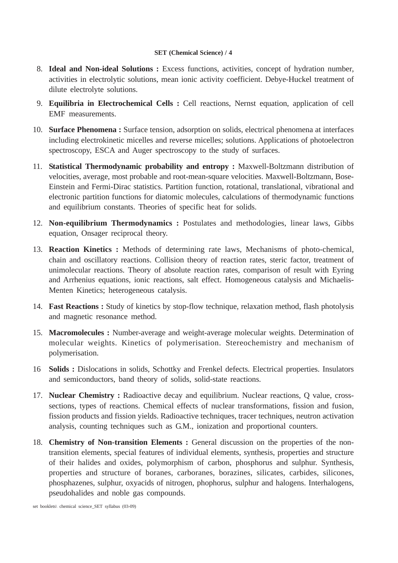- 8. **Ideal and Non-ideal Solutions :** Excess functions, activities, concept of hydration number, activities in electrolytic solutions, mean ionic activity coefficient. Debye-Huckel treatment of dilute electrolyte solutions.
- 9. **Equilibria in Electrochemical Cells :** Cell reactions, Nernst equation, application of cell EMF measurements.
- 10. **Surface Phenomena :** Surface tension, adsorption on solids, electrical phenomena at interfaces including electrokinetic micelles and reverse micelles; solutions. Applications of photoelectron spectroscopy, ESCA and Auger spectroscopy to the study of surfaces.
- 11. **Statistical Thermodynamic probability and entropy :** Maxwell-Boltzmann distribution of velocities, average, most probable and root-mean-square velocities. Maxwell-Boltzmann, Bose-Einstein and Fermi-Dirac statistics. Partition function, rotational, translational, vibrational and electronic partition functions for diatomic molecules, calculations of thermodynamic functions and equilibrium constants. Theories of specific heat for solids.
- 12. **Non-equilibrium Thermodynamics :** Postulates and methodologies, linear laws, Gibbs equation, Onsager reciprocal theory.
- 13. **Reaction Kinetics :** Methods of determining rate laws, Mechanisms of photo-chemical, chain and oscillatory reactions. Collision theory of reaction rates, steric factor, treatment of unimolecular reactions. Theory of absolute reaction rates, comparison of result with Eyring and Arrhenius equations, ionic reactions, salt effect. Homogeneous catalysis and Michaelis-Menten Kinetics; heterogeneous catalysis.
- 14. **Fast Reactions :** Study of kinetics by stop-flow technique, relaxation method, flash photolysis and magnetic resonance method.
- 15. **Macromolecules :** Number-average and weight-average molecular weights. Determination of molecular weights. Kinetics of polymerisation. Stereochemistry and mechanism of polymerisation.
- 16 **Solids :** Dislocations in solids, Schottky and Frenkel defects. Electrical properties. Insulators and semiconductors, band theory of solids, solid-state reactions.
- 17. **Nuclear Chemistry :** Radioactive decay and equilibrium. Nuclear reactions, Q value, crosssections, types of reactions. Chemical effects of nuclear transformations, fission and fusion, fission products and fission yields. Radioactive techniques, tracer techniques, neutron activation analysis, counting techniques such as G.M., ionization and proportional counters.
- 18. **Chemistry of Non-transition Elements :** General discussion on the properties of the nontransition elements, special features of individual elements, synthesis, properties and structure of their halides and oxides, polymorphism of carbon, phosphorus and sulphur. Synthesis, properties and structure of boranes, carboranes, borazines, silicates, carbides, silicones, phosphazenes, sulphur, oxyacids of nitrogen, phophorus, sulphur and halogens. Interhalogens, pseudohalides and noble gas compounds.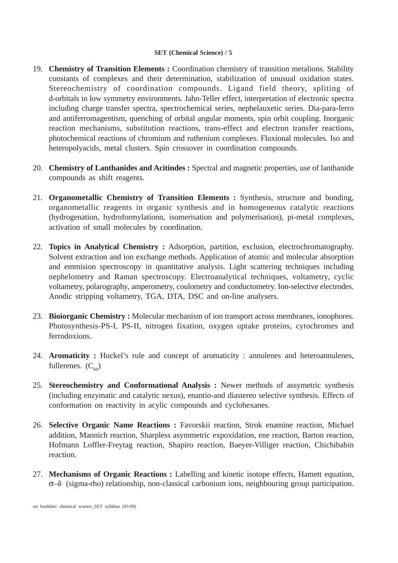- 19. **Chemistry of Transition Elements :** Coordination chemistry of transition metalions. Stability constants of complexes and their determination, stabilization of unusual oxidation states. Stereochemistry of coordination compounds. Ligand field theory, spliting of d-orbitals in low symmetry environments. Jahn-Teller effect, interpretation of electronic spectra including charge transfer spectra, spectrochemical series, nephelauxetic series. Dia-para-ferro and antiferromagentism, quenching of orbital angular moments, spin orbit coupling. Inorganic reaction mechanisms, substitution reactions, trans-effect and electron transfer reactions, photochemical reactions of chromium and ruthenium complexes. Fluxional molecules. Iso and heteropolyacids, metal clusters. Spin crossover in coordination compounds.
- 20. **Chemistry of Lanthanides and Acitindes :** Spectral and magnetic properties, use of lanthanide compounds as shift reagents.
- 21. **Organometallic Chemistry of Transition Elements :** Synthesis, structure and bonding, organometallic reagents in organic synthesis and in homogeneous catalytic reactions (hydrogenation, hydroformylationn, isomerisation and polymerisation), pi-metal complexes, activation of small molecules by coordination.
- 22. **Topics in Analytical Chemistry :** Adsorption, partition, exclusion, electrochromatography. Solvent extraction and ion exchange methods. Application of atomic and molecular absorption and emmision spectroscopy in quantitative analysis. Light scattering techniques including nephelometry and Raman spectroscopy. Electroanalytical techniques, voltametry, cyclic voltametry, polarography, amperometry, coulometry and conductometry. Ion-selective electrodes. Anodic stripping voltametry, TGA, DTA, DSC and on-line analysers.
- 23. **Bioiorganic Chemistry :** Molecular mechanism of ion transport across membranes, ionophores. Photosynthesis-PS-I, PS-II, nitrogen fixation, oxygen uptake proteins, cytochromes and ferrodoxions.
- 24. **Aromaticity :** Huckel's rule and concept of aromaticity : annulenes and heteroannulenes, fullerenes.  $(C_{60})$
- 25. **Stereochemistry and Conformational Analysis :** Newer methods of assymetric synthesis (including enzymatic and catalytic nexus), enantio-and diastereo selective synthesis. Effects of conformation on reactivity in acylic compounds and cyclohexanes.
- 26. **Selective Organic Name Reactions :** Favorskii reaction, Strok enamine reaction, Michael addition, Mannich reaction, Sharpless asymmetric expoxidation, ene reaction, Barton reaction, Hofmann Loffler-Freytag reaction, Shapiro reaction, Baeyer-Villiger reaction, Chichibabin reaction.
- 27. **Mechanisms of Organic Reactions :** Labelling and kinetic isotope effects, Hamett equation, σ–δ (sigma-rho) relationship, non-classical carbonium ions, neighbouring group participation.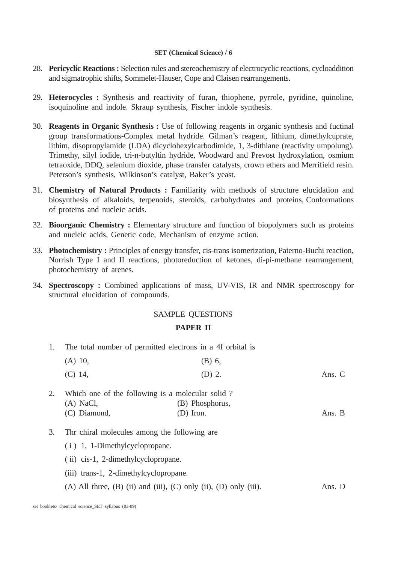- 28. **Pericyclic Reactions :** Selection rules and stereochemistry of electrocyclic reactions, cycloaddition and sigmatrophic shifts, Sommelet-Hauser, Cope and Claisen rearrangements.
- 29. **Heterocycles :** Synthesis and reactivity of furan, thiophene, pyrrole, pyridine, quinoline, isoquinoline and indole. Skraup synthesis, Fischer indole synthesis.
- 30. **Reagents in Organic Synthesis :** Use of following reagents in organic synthesis and fuctinal group transformations-Complex metal hydride. Gilman's reagent, lithium, dimethylcuprate, lithim, disopropylamide (LDA) dicyclohexylcarbodimide, 1, 3-dithiane (reactivity umpolung). Trimethy, silyl iodide, tri-n-butyltin hydride, Woodward and Prevost hydroxylation, osmium tetraoxide, DDQ, selenium dioxide, phase transfer catalysts, crown ethers and Merrifield resin. Peterson's synthesis, Wilkinson's catalyst, Baker's yeast.
- 31. **Chemistry of Natural Products :** Familiarity with methods of structure elucidation and biosynthesis of alkaloids, terpenoids, steroids, carbohydrates and proteins, Conformations of proteins and nucleic acids.
- 32. **Bioorganic Chemistry :** Elementary structure and function of biopolymers such as proteins and nucleic acids, Genetic code, Mechanism of enzyme action.
- 33. **Photochemistry :** Principles of energy transfer, cis-trans isomerization, Paterno-Buchi reaction, Norrish Type I and II reactions, photoreduction of ketones, di-pi-methane rearrangement, photochemistry of arenes.
- 34. **Spectroscopy :** Combined applications of mass, UV-VIS, IR and NMR spectroscopy for structural elucidation of compounds.

#### SAMPLE QUESTIONS

#### **PAPER II**

1. The total number of permitted electrons in a 4f orbital is

| $(A)$ 10,                                           | $(B)$ 6, |        |
|-----------------------------------------------------|----------|--------|
| $(C)$ 14,                                           | $(D)$ 2. | Ans. C |
| 2. Which one of the following is a molecular solid? |          |        |

- (A) NaCl, (B) Phosphorus, (C) Diamond, (D) Iron. Ans. B
- 3. Thr chiral molecules among the following are
	- ( i ) 1, 1-Dimethylcyclopropane.
	- ( ii) cis-1, 2-dimethylcyclopropane.
	- (iii) trans-1, 2-dimethylcyclopropane.
	- $(A)$  All three,  $(B)$  (ii) and (iii),  $(C)$  only (ii),  $(D)$  only (iii). Ans. D